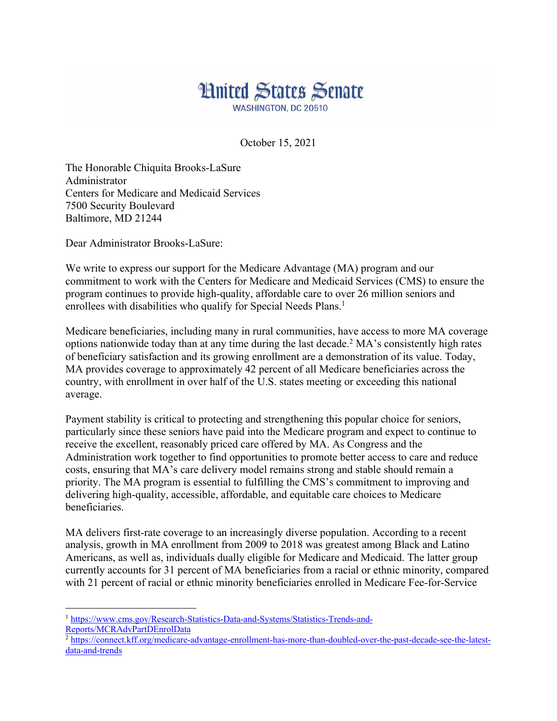## **Hnited States Senate WASHINGTON, DC 20510**

October 15, 2021

The Honorable Chiquita Brooks-LaSure Administrator Centers for Medicare and Medicaid Services 7500 Security Boulevard Baltimore, MD 21244

Dear Administrator Brooks-LaSure:

We write to express our support for the Medicare Advantage (MA) program and our commitment to work with the Centers for Medicare and Medicaid Services (CMS) to ensure the program continues to provide high-quality, affordable care to over 26 million seniors and enrollees with disabilities who qualify for Special Needs Plans.<sup>1</sup>

Medicare beneficiaries, including many in rural communities, have access to more MA coverage options nationwide today than at any time during the last decade.2 MA's consistently high rates of beneficiary satisfaction and its growing enrollment are a demonstration of its value. Today, MA provides coverage to approximately 42 percent of all Medicare beneficiaries across the country, with enrollment in over half of the U.S. states meeting or exceeding this national average.

Payment stability is critical to protecting and strengthening this popular choice for seniors, particularly since these seniors have paid into the Medicare program and expect to continue to receive the excellent, reasonably priced care offered by MA. As Congress and the Administration work together to find opportunities to promote better access to care and reduce costs, ensuring that MA's care delivery model remains strong and stable should remain a priority. The MA program is essential to fulfilling the CMS's commitment to improving and delivering high-quality, accessible, affordable, and equitable care choices to Medicare beneficiaries.

MA delivers first-rate coverage to an increasingly diverse population. According to a recent analysis, growth in MA enrollment from 2009 to 2018 was greatest among Black and Latino Americans, as well as, individuals dually eligible for Medicare and Medicaid. The latter group currently accounts for 31 percent of MA beneficiaries from a racial or ethnic minority, compared with 21 percent of racial or ethnic minority beneficiaries enrolled in Medicare Fee-for-Service

<sup>1</sup> https://www.cms.gov/Research-Statistics-Data-and-Systems/Statistics-Trends-and-Reports/MCRAdvPartDEnrolData

<sup>&</sup>lt;sup>2</sup> https://connect.kff.org/medicare-advantage-enrollment-has-more-than-doubled-over-the-past-decade-see-the-latestdata-and-trends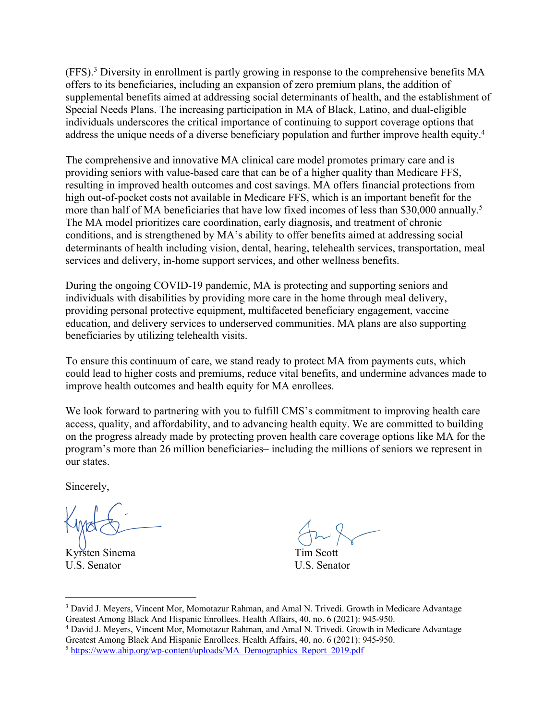(FFS).3 Diversity in enrollment is partly growing in response to the comprehensive benefits MA offers to its beneficiaries, including an expansion of zero premium plans, the addition of supplemental benefits aimed at addressing social determinants of health, and the establishment of Special Needs Plans. The increasing participation in MA of Black, Latino, and dual-eligible individuals underscores the critical importance of continuing to support coverage options that address the unique needs of a diverse beneficiary population and further improve health equity.4

The comprehensive and innovative MA clinical care model promotes primary care and is providing seniors with value-based care that can be of a higher quality than Medicare FFS, resulting in improved health outcomes and cost savings. MA offers financial protections from high out-of-pocket costs not available in Medicare FFS, which is an important benefit for the more than half of MA beneficiaries that have low fixed incomes of less than \$30,000 annually.<sup>5</sup> The MA model prioritizes care coordination, early diagnosis, and treatment of chronic conditions, and is strengthened by MA's ability to offer benefits aimed at addressing social determinants of health including vision, dental, hearing, telehealth services, transportation, meal services and delivery, in-home support services, and other wellness benefits.

During the ongoing COVID-19 pandemic, MA is protecting and supporting seniors and individuals with disabilities by providing more care in the home through meal delivery, providing personal protective equipment, multifaceted beneficiary engagement, vaccine education, and delivery services to underserved communities. MA plans are also supporting beneficiaries by utilizing telehealth visits.

To ensure this continuum of care, we stand ready to protect MA from payments cuts, which could lead to higher costs and premiums, reduce vital benefits, and undermine advances made to improve health outcomes and health equity for MA enrollees.

We look forward to partnering with you to fulfill CMS's commitment to improving health care access, quality, and affordability, and to advancing health equity. We are committed to building on the progress already made by protecting proven health care coverage options like MA for the program's more than 26 million beneficiaries– including the millions of seniors we represent in our states.

Sincerely,

Kyrsten Sinema Tim Scott U.S. Senator U.S. Senator

<sup>3</sup> David J. Meyers, Vincent Mor, Momotazur Rahman, and Amal N. Trivedi. Growth in Medicare Advantage Greatest Among Black And Hispanic Enrollees. Health Affairs, 40, no. 6 (2021): 945-950.

<sup>4</sup> David J. Meyers, Vincent Mor, Momotazur Rahman, and Amal N. Trivedi. Growth in Medicare Advantage Greatest Among Black And Hispanic Enrollees. Health Affairs, 40, no. 6 (2021): 945-950.

<sup>&</sup>lt;sup>5</sup> https://www.ahip.org/wp-content/uploads/MA\_Demographics\_Report\_2019.pdf